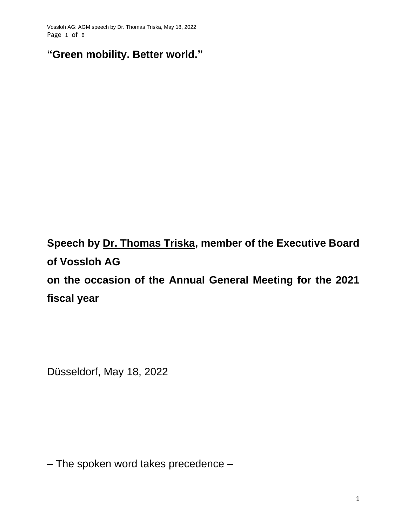Vossloh AG: AGM speech by Dr. Thomas Triska, May 18, 2022 Page 1 of 6

**"Green mobility. Better world."**

**Speech by Dr. Thomas Triska, member of the Executive Board of Vossloh AG on the occasion of the Annual General Meeting for the 2021 fiscal year**

Düsseldorf, May 18, 2022

– The spoken word takes precedence –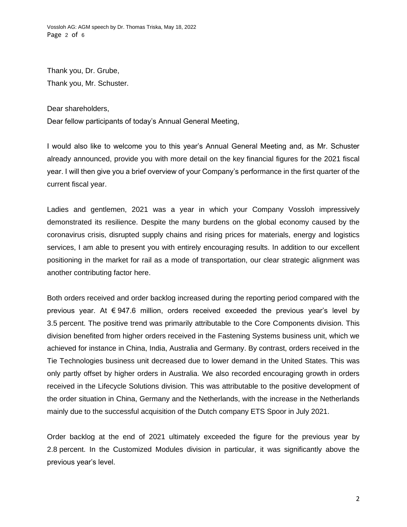Vossloh AG: AGM speech by Dr. Thomas Triska, May 18, 2022 Page 2 of 6

Thank you, Dr. Grube, Thank you, Mr. Schuster.

Dear shareholders,

Dear fellow participants of today's Annual General Meeting,

I would also like to welcome you to this year's Annual General Meeting and, as Mr. Schuster already announced, provide you with more detail on the key financial figures for the 2021 fiscal year. I will then give you a brief overview of your Company's performance in the first quarter of the current fiscal year.

Ladies and gentlemen, 2021 was a year in which your Company Vossloh impressively demonstrated its resilience. Despite the many burdens on the global economy caused by the coronavirus crisis, disrupted supply chains and rising prices for materials, energy and logistics services, I am able to present you with entirely encouraging results. In addition to our excellent positioning in the market for rail as a mode of transportation, our clear strategic alignment was another contributing factor here.

Both orders received and order backlog increased during the reporting period compared with the previous year. At € 947.6 million, orders received exceeded the previous year's level by 3.5 percent. The positive trend was primarily attributable to the Core Components division. This division benefited from higher orders received in the Fastening Systems business unit, which we achieved for instance in China, India, Australia and Germany. By contrast, orders received in the Tie Technologies business unit decreased due to lower demand in the United States. This was only partly offset by higher orders in Australia. We also recorded encouraging growth in orders received in the Lifecycle Solutions division. This was attributable to the positive development of the order situation in China, Germany and the Netherlands, with the increase in the Netherlands mainly due to the successful acquisition of the Dutch company ETS Spoor in July 2021.

Order backlog at the end of 2021 ultimately exceeded the figure for the previous year by 2.8 percent. In the Customized Modules division in particular, it was significantly above the previous year's level.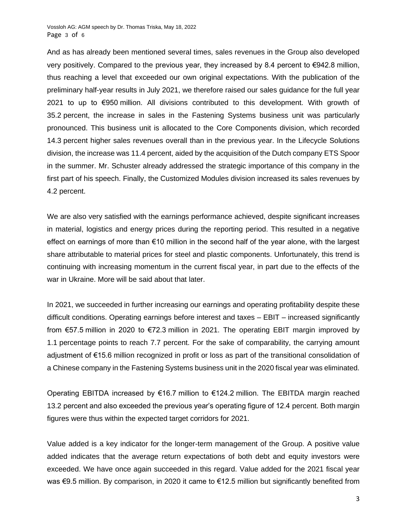And as has already been mentioned several times, sales revenues in the Group also developed very positively. Compared to the previous year, they increased by 8.4 percent to €942.8 million, thus reaching a level that exceeded our own original expectations. With the publication of the preliminary half-year results in July 2021, we therefore raised our sales guidance for the full year 2021 to up to €950 million. All divisions contributed to this development. With growth of 35.2 percent, the increase in sales in the Fastening Systems business unit was particularly pronounced. This business unit is allocated to the Core Components division, which recorded 14.3 percent higher sales revenues overall than in the previous year. In the Lifecycle Solutions division, the increase was 11.4 percent, aided by the acquisition of the Dutch company ETS Spoor in the summer. Mr. Schuster already addressed the strategic importance of this company in the first part of his speech. Finally, the Customized Modules division increased its sales revenues by 4.2 percent.

We are also very satisfied with the earnings performance achieved, despite significant increases in material, logistics and energy prices during the reporting period. This resulted in a negative effect on earnings of more than €10 million in the second half of the year alone, with the largest share attributable to material prices for steel and plastic components. Unfortunately, this trend is continuing with increasing momentum in the current fiscal year, in part due to the effects of the war in Ukraine. More will be said about that later.

In 2021, we succeeded in further increasing our earnings and operating profitability despite these difficult conditions. Operating earnings before interest and taxes – EBIT – increased significantly from €57.5 million in 2020 to €72.3 million in 2021. The operating EBIT margin improved by 1.1 percentage points to reach 7.7 percent. For the sake of comparability, the carrying amount adjustment of €15.6 million recognized in profit or loss as part of the transitional consolidation of a Chinese company in the Fastening Systems business unit in the 2020 fiscal year was eliminated.

Operating EBITDA increased by €16.7 million to €124.2 million. The EBITDA margin reached 13.2 percent and also exceeded the previous year's operating figure of 12.4 percent. Both margin figures were thus within the expected target corridors for 2021.

Value added is a key indicator for the longer-term management of the Group. A positive value added indicates that the average return expectations of both debt and equity investors were exceeded. We have once again succeeded in this regard. Value added for the 2021 fiscal year was €9.5 million. By comparison, in 2020 it came to €12.5 million but significantly benefited from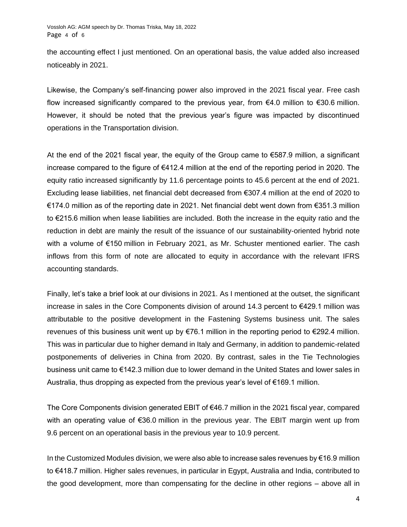the accounting effect I just mentioned. On an operational basis, the value added also increased noticeably in 2021.

Likewise, the Company's self-financing power also improved in the 2021 fiscal year. Free cash flow increased significantly compared to the previous year, from  $€4.0$  million to  $€30.6$  million. However, it should be noted that the previous year's figure was impacted by discontinued operations in the Transportation division.

At the end of the 2021 fiscal year, the equity of the Group came to  $\epsilon$ 587.9 million, a significant increase compared to the figure of €412.4 million at the end of the reporting period in 2020. The equity ratio increased significantly by 11.6 percentage points to 45.6 percent at the end of 2021. Excluding lease liabilities, net financial debt decreased from €307.4 million at the end of 2020 to €174.0 million as of the reporting date in 2021. Net financial debt went down from €351.3 million to €215.6 million when lease liabilities are included. Both the increase in the equity ratio and the reduction in debt are mainly the result of the issuance of our sustainability-oriented hybrid note with a volume of €150 million in February 2021, as Mr. Schuster mentioned earlier. The cash inflows from this form of note are allocated to equity in accordance with the relevant IFRS accounting standards.

Finally, let's take a brief look at our divisions in 2021. As I mentioned at the outset, the significant increase in sales in the Core Components division of around 14.3 percent to €429.1 million was attributable to the positive development in the Fastening Systems business unit. The sales revenues of this business unit went up by  $\epsilon$ 76.1 million in the reporting period to  $\epsilon$ 292.4 million. This was in particular due to higher demand in Italy and Germany, in addition to pandemic-related postponements of deliveries in China from 2020. By contrast, sales in the Tie Technologies business unit came to €142.3 million due to lower demand in the United States and lower sales in Australia, thus dropping as expected from the previous year's level of  $\epsilon$ 169.1 million.

The Core Components division generated EBIT of €46.7 million in the 2021 fiscal year, compared with an operating value of €36.0 million in the previous year. The EBIT margin went up from 9.6 percent on an operational basis in the previous year to 10.9 percent.

In the Customized Modules division, we were also able to increase sales revenues by €16.9 million to €418.7 million. Higher sales revenues, in particular in Egypt, Australia and India, contributed to the good development, more than compensating for the decline in other regions – above all in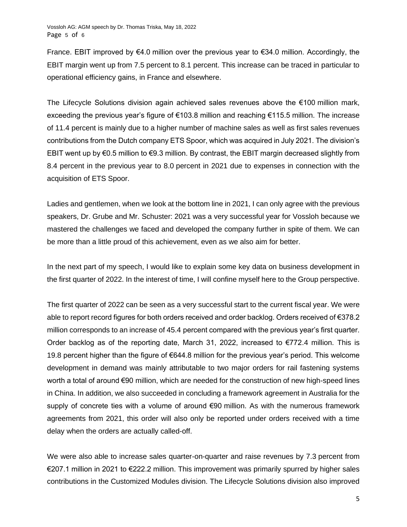France. EBIT improved by  $€4.0$  million over the previous year to  $€34.0$  million. Accordingly, the EBIT margin went up from 7.5 percent to 8.1 percent. This increase can be traced in particular to operational efficiency gains, in France and elsewhere.

The Lifecycle Solutions division again achieved sales revenues above the €100 million mark, exceeding the previous year's figure of €103.8 million and reaching €115.5 million. The increase of 11.4 percent is mainly due to a higher number of machine sales as well as first sales revenues contributions from the Dutch company ETS Spoor, which was acquired in July 2021. The division's EBIT went up by €0.5 million to €9.3 million. By contrast, the EBIT margin decreased slightly from 8.4 percent in the previous year to 8.0 percent in 2021 due to expenses in connection with the acquisition of ETS Spoor.

Ladies and gentlemen, when we look at the bottom line in 2021, I can only agree with the previous speakers, Dr. Grube and Mr. Schuster: 2021 was a very successful year for Vossloh because we mastered the challenges we faced and developed the company further in spite of them. We can be more than a little proud of this achievement, even as we also aim for better.

In the next part of my speech, I would like to explain some key data on business development in the first quarter of 2022. In the interest of time, I will confine myself here to the Group perspective.

The first quarter of 2022 can be seen as a very successful start to the current fiscal year. We were able to report record figures for both orders received and order backlog. Orders received of €378.2 million corresponds to an increase of 45.4 percent compared with the previous year's first quarter. Order backlog as of the reporting date, March 31, 2022, increased to  $\epsilon$ 772.4 million. This is 19.8 percent higher than the figure of €644.8 million for the previous year's period. This welcome development in demand was mainly attributable to two major orders for rail fastening systems worth a total of around €90 million, which are needed for the construction of new high-speed lines in China. In addition, we also succeeded in concluding a framework agreement in Australia for the supply of concrete ties with a volume of around €90 million. As with the numerous framework agreements from 2021, this order will also only be reported under orders received with a time delay when the orders are actually called-off.

We were also able to increase sales quarter-on-quarter and raise revenues by 7.3 percent from €207.1 million in 2021 to €222.2 million. This improvement was primarily spurred by higher sales contributions in the Customized Modules division. The Lifecycle Solutions division also improved